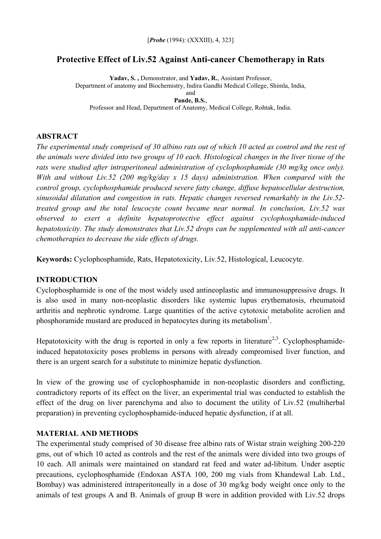## **Protective Effect of Liv.52 Against Anti-cancer Chemotherapy in Rats**

**Yadav, S. ,** Demonstrator, and **Yadav, R.**, Assistant Professor, Department of anatomy and Biochemistry, Indira Gandhi Medical College, Shimla, India, and **Pande, B.S.**,

Professor and Head, Department of Anatomy, Medical College, Rohtak, India.

### **ABSTRACT**

*The experimental study comprised of 30 albino rats out of which 10 acted as control and the rest of the animals were divided into two groups of 10 each. Histological changes in the liver tissue of the rats were studied after intraperitoneal administration of cyclophosphamide (30 mg/kg once only). With and without Liv.52 (200 mg/kg/day x 15 days) administration. When compared with the control group, cyclophosphamide produced severe fatty change, diffuse hepatocellular destruction, sinusoidal dilatation and congestion in rats. Hepatic changes reversed remarkably in the Liv.52 treated group and the total leucocyte count became near normal. In conclusion, Liv.52 was observed to exert a definite hepatoprotective effect against cyclophosphamide-induced hepatotoxicity. The study demonstrates that Liv.52 drops can be supplemented with all anti-cancer chemotherapies to decrease the side effects of drugs.* 

**Keywords:** Cyclophosphamide, Rats, Hepatotoxicity, Liv.52, Histological, Leucocyte.

## **INTRODUCTION**

Cyclophosphamide is one of the most widely used antineoplastic and immunosuppressive drugs. It is also used in many non-neoplastic disorders like systemic lupus erythematosis, rheumatoid arthritis and nephrotic syndrome. Large quantities of the active cytotoxic metabolite acrolien and phosphoramide mustard are produced in hepatocytes during its metabolism<sup>1</sup>.

Hepatotoxicity with the drug is reported in only a few reports in literature<sup>2,3</sup>. Cyclophosphamideinduced hepatotoxicity poses problems in persons with already compromised liver function, and there is an urgent search for a substitute to minimize hepatic dysfunction.

In view of the growing use of cyclophosphamide in non-neoplastic disorders and conflicting, contradictory reports of its effect on the liver, an experimental trial was conducted to establish the effect of the drug on liver parenchyma and also to document the utility of Liv.52 (multiherbal preparation) in preventing cyclophosphamide-induced hepatic dysfunction, if at all.

#### **MATERIAL AND METHODS**

The experimental study comprised of 30 disease free albino rats of Wistar strain weighing 200-220 gms, out of which 10 acted as controls and the rest of the animals were divided into two groups of 10 each. All animals were maintained on standard rat feed and water ad-libitum. Under aseptic precautions, cyclophosphamide (Endoxan ASTA 100, 200 mg vials from Khandewal Lab. Ltd., Bombay) was administered intraperitoneally in a dose of 30 mg/kg body weight once only to the animals of test groups A and B. Animals of group B were in addition provided with Liv.52 drops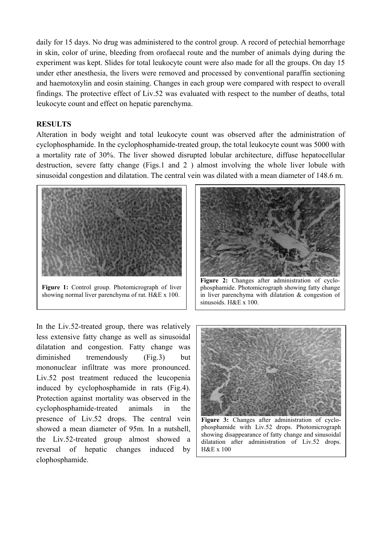daily for 15 days. No drug was administered to the control group. A record of petechial hemorrhage in skin, color of urine, bleeding from orofaecal route and the number of animals dying during the experiment was kept. Slides for total leukocyte count were also made for all the groups. On day 15 under ether anesthesia, the livers were removed and processed by conventional paraffin sectioning and haemotoxylin and eosin staining. Changes in each group were compared with respect to overall findings. The protective effect of Liv.52 was evaluated with respect to the number of deaths, total leukocyte count and effect on hepatic parenchyma.

## **RESULTS**

Alteration in body weight and total leukocyte count was observed after the administration of cyclophosphamide. In the cyclophosphamide-treated group, the total leukocyte count was 5000 with a mortality rate of 30%. The liver showed disrupted lobular architecture, diffuse hepatocellular destruction, severe fatty change (Figs.1 and 2 ) almost involving the whole liver lobule with sinusoidal congestion and dilatation. The central vein was dilated with a mean diameter of 148.6 m.



**Figure 1:** Control group. Photomicrograph of liver showing normal liver parenchyma of rat. H&E x 100.

In the Liv.52-treated group, there was relatively less extensive fatty change as well as sinusoidal dilatation and congestion. Fatty change was diminished tremendously (Fig.3) but mononuclear infiltrate was more pronounced. Liv.52 post treatment reduced the leucopenia induced by cyclophosphamide in rats (Fig.4). Protection against mortality was observed in the cyclophosphamide-treated animals in the presence of Liv.52 drops. The central vein showed a mean diameter of 95m. In a nutshell, the Liv.52-treated group almost showed a reversal of hepatic changes induced by clophosphamide.



phosphamide. Photomicrograph showing fatty change in liver parenchyma with dilatation & congestion of sinusoids. H&E x 100.



**Figure 3:** Changes after administration of cyclophosphamide with Liv.52 drops. Photomicrograph showing disappearance of fatty change and sinusoidal dilatation after administration of Liv.52 drops. H&E x 100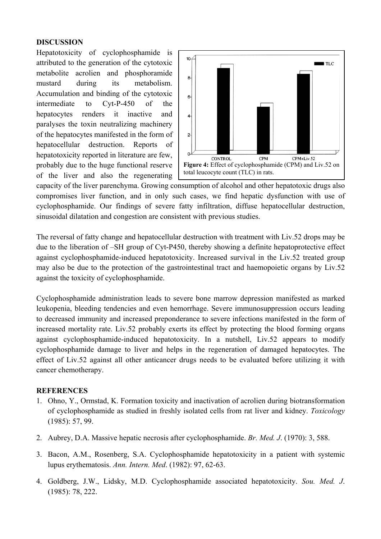# **DISCUSSION**

Hepatotoxicity of cyclophosphamide is attributed to the generation of the cytotoxic metabolite acrolien and phosphoramide mustard during its metabolism. Accumulation and binding of the cytotoxic intermediate to Cyt-P-450 of the hepatocytes renders it inactive and paralyses the toxin neutralizing machinery of the hepatocytes manifested in the form of hepatocellular destruction. Reports of hepatotoxicity reported in literature are few, probably due to the huge functional reserve of the liver and also the regenerating



cyclophosphamide. Our findings of severe fatty infiltration, diffuse hepatocellular destruction, sinusoidal dilatation and congestion are consistent with previous studies. capacity of the liver parenchyma. Growing consumption of alcohol and other hepatotoxic drugs also compromises liver function, and in only such cases, we find hepatic dysfunction with use of

may also be due to the protection of the gastrointestinal tract and haemopoietic organs by Liv.52 against the toxicity of cyclophosphamide. The reversal of fatty change and hepatocellular destruction with treatment with Liv.52 drops may be due to the liberation of –SH group of Cyt-P450, thereby showing a definite hepatoprotective effect against cyclophosphamide-induced hepatotoxicity. Increased survival in the Liv.52 treated group

effect of Liv.52 against all other anticancer drugs needs to be evaluated before utilizing it with ancer chemotherapy. c Cyclophosphamide administration leads to severe bone marrow depression manifested as marked leukopenia, bleeding tendencies and even hemorrhage. Severe immunosuppression occurs leading to decreased immunity and increased preponderance to severe infections manifested in the form of increased mortality rate. Liv.52 probably exerts its effect by protecting the blood forming organs against cyclophosphamide-induced hepatotoxicity. In a nutshell, Liv.52 appears to modify cyclophosphamide damage to liver and helps in the regeneration of damaged hepatocytes. The

## **REFERENCES**

- 1. Ohno, Y., Ormstad, K. Formation toxicity and inactivation of acrolien during biotransformation of cyclophosphamide as studied in freshly isolated cells from rat liver and kidney. *Toxicology* (1985): 57, 99.
- 2. Aubrey, D.A. Massive hepatic necrosis after cyclophosphamide. *Br. Med. J*. (1970): 3, 588.
- 3. Bacon, A.M., Rosenberg, S.A. Cyclophosphamide hepatotoxicity in a patient with systemic lupus erythematosis. *Ann. Intern. Med*. (1982): 97, 62-63.
- 4. Goldberg, J.W., Lidsky, M.D. Cyclophosphamide associated hepatotoxicity. Sou. Med. J. (1985): 78, 222.